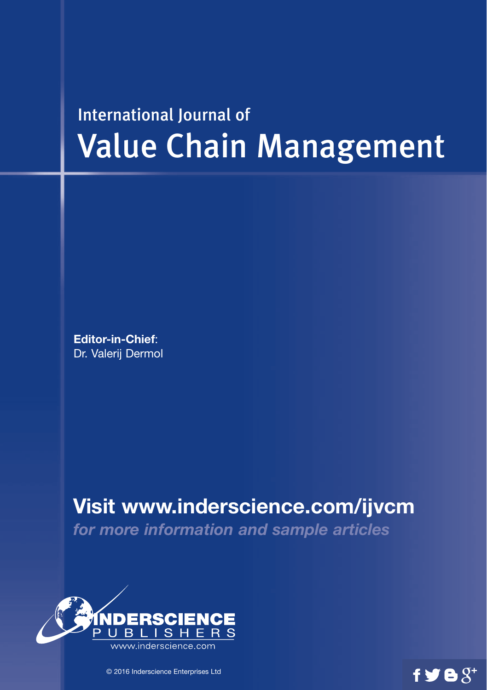# International Journal of Value Chain Management

**Editor-in-Chief**: Dr. Valerij Dermol

**Visit www.inderscience.com/ijvcm**

 $f \blacktrianglerighteq \mathbf{e}$ 

*for more information and sample articles*



© 2016 Inderscience Enterprises Ltd